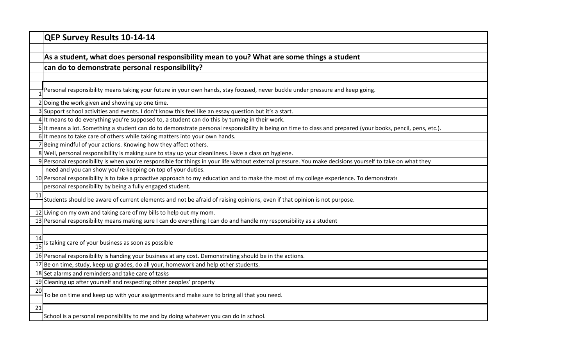|                       | QEP Survey Results 10-14-14                                                                                                                                  |
|-----------------------|--------------------------------------------------------------------------------------------------------------------------------------------------------------|
|                       |                                                                                                                                                              |
|                       | As a student, what does personal responsibility mean to you? What are some things a student                                                                  |
|                       | can do to demonstrate personal responsibility?                                                                                                               |
|                       |                                                                                                                                                              |
|                       | Personal responsibility means taking your future in your own hands, stay focused, never buckle under pressure and keep going.                                |
|                       | 2 Doing the work given and showing up one time.                                                                                                              |
|                       | 3 Support school activities and events. I don't know this feel like an essay question but it's a start.                                                      |
|                       | 4 It means to do everything you're supposed to, a student can do this by turning in their work.                                                              |
|                       | 5 It means a lot. Something a student can do to demonstrate personal responsibility is being on time to class and prepared (your books, pencil, pens, etc.). |
|                       | 6 It means to take care of others while taking matters into your own hands.                                                                                  |
|                       | 7 Being mindful of your actions. Knowing how they affect others.                                                                                             |
|                       | 8 Well, personal responsibility is making sure to stay up your cleanliness. Have a class on hygiene.                                                         |
|                       | 9 Personal responsibility is when you're responsible for things in your life without external pressure. You make decisions yourself to take on what they     |
|                       | need and you can show you're keeping on top of your duties.                                                                                                  |
|                       | 10 Personal responsibility is to take a proactive approach to my education and to make the most of my college experience. To demonstrate                     |
|                       | personal responsibility by being a fully engaged student.                                                                                                    |
| 11                    | Students should be aware of current elements and not be afraid of raising opinions, even if that opinion is not purpose.                                     |
|                       | 12 Living on my own and taking care of my bills to help out my mom.                                                                                          |
|                       | 13 Personal responsibility means making sure I can do everything I can do and handle my responsibility as a student                                          |
|                       |                                                                                                                                                              |
| 14<br>$\overline{15}$ | Is taking care of your business as soon as possible                                                                                                          |
|                       | 16 Personal responsibility is handing your business at any cost. Demonstrating should be in the actions.                                                     |
|                       | 17 Be on time, study, keep up grades, do all your, homework and help other students.                                                                         |
|                       | 18 Set alarms and reminders and take care of tasks                                                                                                           |
|                       | 19 Cleaning up after yourself and respecting other peoples' property                                                                                         |
| 20                    | To be on time and keep up with your assignments and make sure to bring all that you need.                                                                    |
| 21                    |                                                                                                                                                              |
|                       | School is a personal responsibility to me and by doing whatever you can do in school.                                                                        |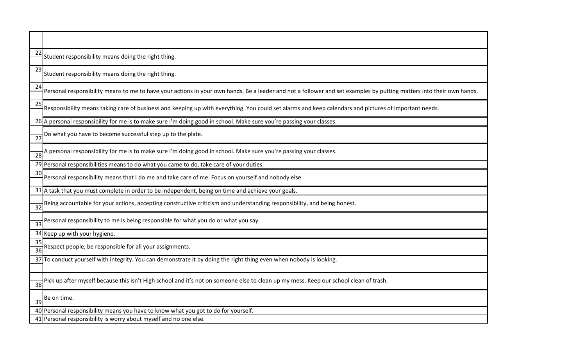| 22                    | Student responsibility means doing the right thing.                                                                                                                  |
|-----------------------|----------------------------------------------------------------------------------------------------------------------------------------------------------------------|
| 23                    | Student responsibility means doing the right thing.                                                                                                                  |
| 24                    | Personal responsibility means to me to have your actions in your own hands. Be a leader and not a follower and set examples by putting matters into their own hands. |
| 25                    | Responsibility means taking care of business and keeping up with everything. You could set alarms and keep calendars and pictures of important needs.                |
|                       | 26 A personal responsibility for me is to make sure I'm doing good in school. Make sure you're passing your classes.                                                 |
| 27                    | Do what you have to become successful step up to the plate.                                                                                                          |
| 28                    | A personal responsibility for me is to make sure I'm doing good in school. Make sure you're passing your classes.                                                    |
|                       | 29 Personal responsibilities means to do what you came to do, take care of your duties.                                                                              |
| 30                    | Personal responsibility means that I do me and take care of me. Focus on yourself and nobody else.                                                                   |
|                       | 31 A task that you must complete in order to be independent, being on time and achieve your goals.                                                                   |
| 32                    | Being accountable for your actions, accepting constructive criticism and understanding responsibility, and being honest.                                             |
| 33                    | Personal responsibility to me is being responsible for what you do or what you say.                                                                                  |
|                       | 34 Keep up with your hygiene.                                                                                                                                        |
| 35<br>$\overline{36}$ | Respect people, be responsible for all your assignments.                                                                                                             |
|                       | 37 To conduct yourself with integrity. You can demonstrate it by doing the right thing even when nobody is looking.                                                  |
| 38                    | Pick up after myself because this isn't High school and it's not on someone else to clean up my mess. Keep our school clean of trash.                                |
| 39                    | Be on time.                                                                                                                                                          |
|                       | 40 Personal responsibility means you have to know what you got to do for yourself.                                                                                   |
|                       | 41 Personal responsibility is worry about myself and no one else.                                                                                                    |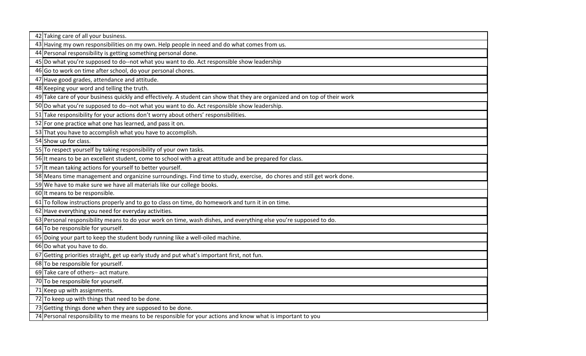| 42 Taking care of all your business.                                                                                       |
|----------------------------------------------------------------------------------------------------------------------------|
| 43 Having my own responsibilities on my own. Help people in need and do what comes from us.                                |
| 44 Personal responsibility is getting something personal done.                                                             |
| 45 Do what you're supposed to do--not what you want to do. Act responsible show leadership                                 |
| 46 Go to work on time after school, do your personal chores.                                                               |
| 47 Have good grades, attendance and attitude.                                                                              |
| 48 Keeping your word and telling the truth.                                                                                |
| 49 Take care of your business quickly and effectively. A student can show that they are organized and on top of their work |
| 50 Do what you're supposed to do--not what you want to do. Act responsible show leadership.                                |
| 51 Take responsibility for your actions don't worry about others' responsibilities.                                        |
| 52 For one practice what one has learned, and pass it on.                                                                  |
| 53 That you have to accomplish what you have to accomplish.                                                                |
| 54 Show up for class.                                                                                                      |
| 55 To respect yourself by taking responsibility of your own tasks.                                                         |
| 56 It means to be an excellent student, come to school with a great attitude and be prepared for class.                    |
| 57 It mean taking actions for yourself to better yourself.                                                                 |
| 58 Means time management and organizine surroundings. Find time to study, exercise, do chores and still get work done.     |
| 59 We have to make sure we have all materials like our college books.                                                      |
| 60 It means to be responsible.                                                                                             |
| 61 To follow instructions properly and to go to class on time, do homework and turn it in on time.                         |
| 62 Have everything you need for everyday activities.                                                                       |
| 63 Personal responsibility means to do your work on time, wash dishes, and everything else you're supposed to do.          |
| 64 To be responsible for yourself.                                                                                         |
| 65 Doing your part to keep the student body running like a well-oiled machine.                                             |
| 66 Do what you have to do.                                                                                                 |
| 67 Getting priorities straight, get up early study and put what's important first, not fun.                                |
| 68 To be responsible for yourself.                                                                                         |
| 69 Take care of others-- act mature.                                                                                       |
| 70 To be responsible for yourself.                                                                                         |
| 71 Keep up with assignments.                                                                                               |
| 72 To keep up with things that need to be done.                                                                            |
| 73 Getting things done when they are supposed to be done.                                                                  |
| 74 Personal responsibility to me means to be responsible for your actions and know what is important to you                |